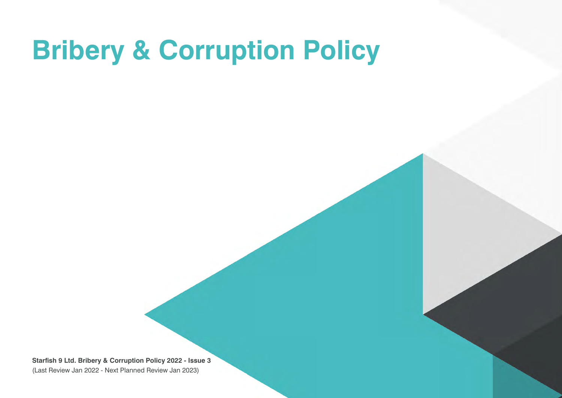## **Bribery & Corruption Policy**

**Starfish 9 Ltd. Bribery & Corruption Policy 2022 - Issue 3** (Last Review Jan 2022 - Next Planned Review Jan 2023)